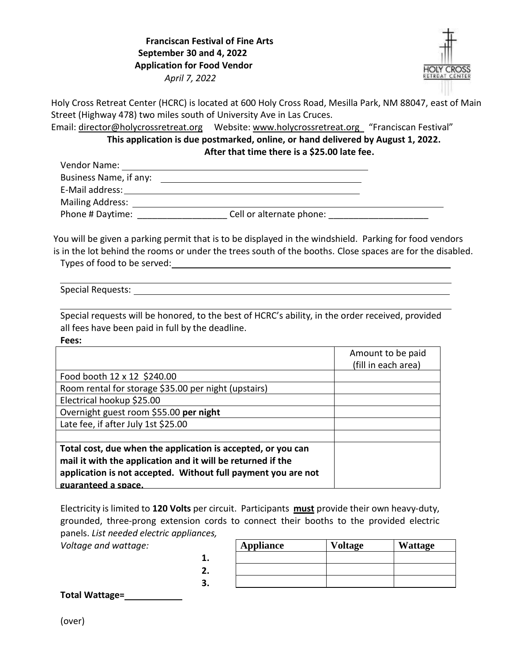## **Franciscan Festival of Fine Arts September 30 and 4, 2022 Application for Food Vendor**  *April 7, 2022*



Holy Cross Retreat Center (HCRC) is located at 600 Holy Cross Road, Mesilla Park, NM 88047, east of Main Street (Highway 478) two miles south of University Ave in Las Cruces.

Email: [director@holycrossretreat.org](mailto:director@holycrossretreat.org)  Website: [www.holycrossretreat.org](http://www.holycrossretreat.org/)  "Franciscan Festival"

**This application is due postmarked, online, or hand delivered by August 1, 2022. After that time there is a \$25.00 late fee.** 

| Vendor Name:            |                          |  |
|-------------------------|--------------------------|--|
| Business Name, if any:  |                          |  |
| E-Mail address:         |                          |  |
| <b>Mailing Address:</b> |                          |  |
| Phone # Daytime:        | Cell or alternate phone: |  |

You will be given a parking permit that is to be displayed in the windshield. Parking for food vendors is in the lot behind the rooms or under the trees south of the booths. Close spaces are for the disabled. Types of food to be served:

<u> 1989 - Johann Barbara, martxa alemaniar amerikan personal (h. 1989).</u>

Special Requests: The state of the state of the state of the state of the state of the state of the state of the state of the state of the state of the state of the state of the state of the state of the state of the state

Special requests will be honored, to the best of HCRC's ability, in the order received, provided all fees have been paid in full by the deadline.

**Fees:**

|                                                               | Amount to be paid   |
|---------------------------------------------------------------|---------------------|
|                                                               | (fill in each area) |
| Food booth 12 x 12 \$240.00                                   |                     |
| Room rental for storage \$35.00 per night (upstairs)          |                     |
| Electrical hookup \$25.00                                     |                     |
| Overnight guest room \$55.00 per night                        |                     |
| Late fee, if after July 1st \$25.00                           |                     |
|                                                               |                     |
| Total cost, due when the application is accepted, or you can  |                     |
| mail it with the application and it will be returned if the   |                     |
| application is not accepted. Without full payment you are not |                     |
| guaranteed a space.                                           |                     |

Electricity is limited to **120 Volts** per circuit. Participants **must** provide their own heavy-duty, grounded, three-prong extension cords to connect their booths to the provided electric panels. *List needed electric appliances,*

*Voltage and wattage:*

|   | <b>Appliance</b> | <b>Voltage</b> | <b>Wattage</b> |
|---|------------------|----------------|----------------|
| ٠ |                  |                |                |
| - |                  |                |                |
| 3 |                  |                |                |

**Total Wattage=**